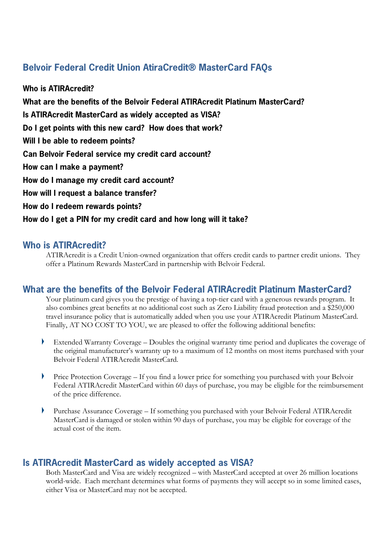# **Belvoir Federal Credit Union AtiraCredit® MasterCard FAQs**

**Who is ATIRAcredit? What are the benefits of the Belvoir Federal ATIRAcredit Platinum MasterCard? Is ATIRAcredit MasterCard as widely accepted as VISA? Do I get points with this new card? How does that work? Will I be able to redeem points? Can Belvoir Federal service my credit card account? How can I make a payment? How do I manage my credit card account? How will I request a balance transfer? How do I redeem rewards points? How do I get a PIN for my credit card and how long will it take?**

## **Who is ATIRAcredit?**

ATIRAcredit is a Credit Union-owned organization that offers credit cards to partner credit unions. They offer a Platinum Rewards MasterCard in partnership with Belvoir Federal.

# **What are the benefits of the Belvoir Federal ATIRAcredit Platinum MasterCard?**

Your platinum card gives you the prestige of having a top-tier card with a generous rewards program. It also combines great benefits at no additional cost such as Zero Liability fraud protection and a \$250,000 travel insurance policy that is automatically added when you use your ATIRAcredit Platinum MasterCard. Finally, AT NO COST TO YOU, we are pleased to offer the following additional benefits:

- Y Extended Warranty Coverage – Doubles the original warranty time period and duplicates the coverage of the original manufacturer's warranty up to a maximum of 12 months on most items purchased with your Belvoir Federal ATIRAcredit MasterCard.
- Price Protection Coverage If you find a lower price for something you purchased with your Belvoir Federal ATIRAcredit MasterCard within 60 days of purchase, you may be eligible for the reimbursement of the price difference.
- $\blacktriangleright$ Purchase Assurance Coverage – If something you purchased with your Belvoir Federal ATIRAcredit MasterCard is damaged or stolen within 90 days of purchase, you may be eligible for coverage of the actual cost of the item.

# **Is ATIRAcredit MasterCard as widely accepted as VISA?**

Both MasterCard and Visa are widely recognized – with MasterCard accepted at over 26 million locations world-wide. Each merchant determines what forms of payments they will accept so in some limited cases, either Visa or MasterCard may not be accepted.